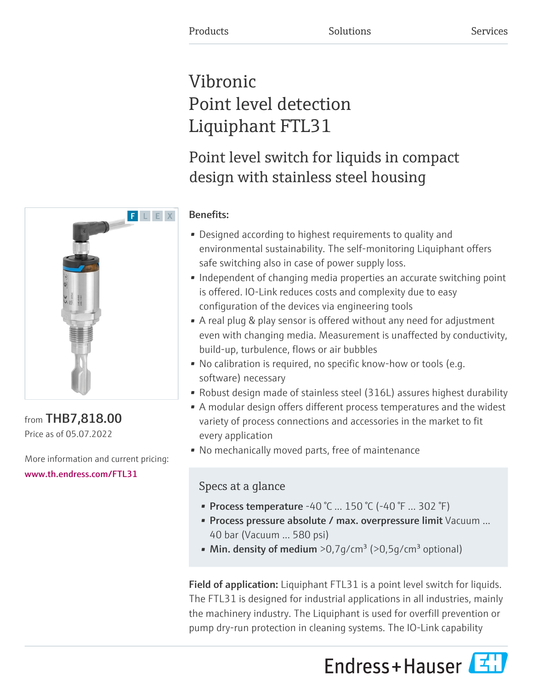# Vibronic Point level detection Liquiphant FTL31

## Point level switch for liquids in compact design with stainless steel housing



### from THB7,818.00 Price as of 05.07.2022

More information and current pricing: [www.th.endress.com/FTL31](https://www.th.endress.com/FTL31)

### Benefits:

- Designed according to highest requirements to quality and environmental sustainability. The self-monitoring Liquiphant offers safe switching also in case of power supply loss.
- Independent of changing media properties an accurate switching point is offered. IO-Link reduces costs and complexity due to easy configuration of the devices via engineering tools
- A real plug & play sensor is offered without any need for adjustment even with changing media. Measurement is unaffected by conductivity, build-up, turbulence, flows or air bubbles
- No calibration is required, no specific know-how or tools (e.g. software) necessary
- Robust design made of stainless steel (316L) assures highest durability
- A modular design offers different process temperatures and the widest variety of process connections and accessories in the market to fit every application
- No mechanically moved parts, free of maintenance

### Specs at a glance

- Process temperature -40 °C ... 150 °C (-40 °F ... 302 °F)
- Process pressure absolute / max. overpressure limit Vacuum ... 40 bar (Vacuum ... 580 psi)
- Min. density of medium  $>0.7$  q/cm<sup>3</sup> ( $>0.5$  q/cm<sup>3</sup> optional)

Field of application: Liquiphant FTL31 is a point level switch for liquids. The FTL31 is designed for industrial applications in all industries, mainly the machinery industry. The Liquiphant is used for overfill prevention or pump dry-run protection in cleaning systems. The IO-Link capability

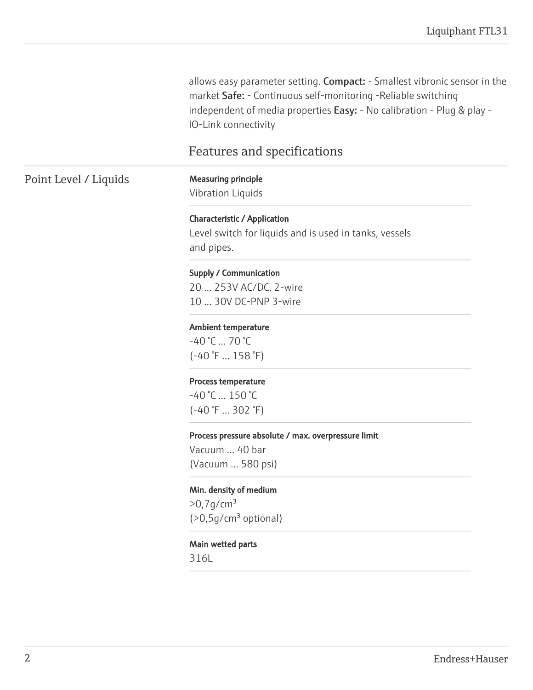allows easy parameter setting. Compact: - Smallest vibronic sensor in the market Safe: - Continuous self-monitoring -Reliable switching independent of media properties Easy: - No calibration - Plug & play -IO-Link connectivity

### Features and specifications

### Point Level / Liquids Measuring principle

Vibration Liquids

Characteristic / Application Level switch for liquids and is used in tanks, vessels and pipes.

#### Supply / Communication

20 ... 253V AC/DC, 2-wire 10 ... 30V DC-PNP 3-wire

#### Ambient temperature

 $-40$  °C  $... 70$  °C (-40 °F ... 158 °F)

#### Process temperature

-40 °C ... 150 °C (-40 °F ... 302 °F)

#### Process pressure absolute / max. overpressure limit

Vacuum ... 40 bar (Vacuum ... 580 psi)

#### Min. density of medium

 $>0,7$ g/cm<sup>3</sup>  $($ >0,5q/cm<sup>3</sup> optional)

#### Main wetted parts

316L